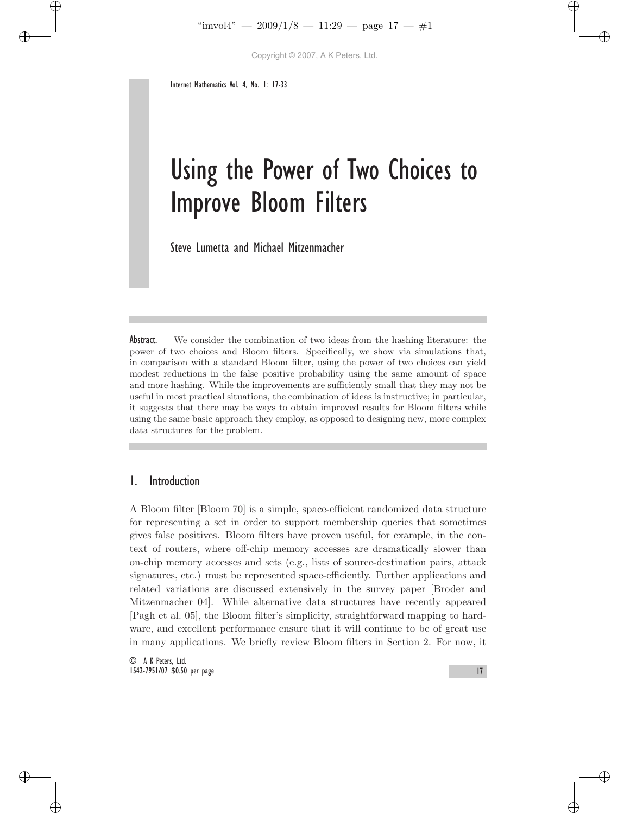Internet Mathematics Vol. 4, No. 1: 17-33

# Using the Power of Two Choices to Improve Bloom Filters

Steve Lumetta and Michael Mitzenmacher

Abstract. We consider the combination of two ideas from the hashing literature: the power of two choices and Bloom filters. Specifically, we show via simulations that, in comparison with a standard Bloom filter, using the power of two choices can yield modest reductions in the false positive probability using the same amount of space and more hashing. While the improvements are sufficiently small that they may not be useful in most practical situations, the combination of ideas is instructive; in particular, it suggests that there may be ways to obtain improved results for Bloom filters while using the same basic approach they employ, as opposed to designing new, more complex data structures for the problem.

# 1. Introduction

A Bloom filter [Bloom 70] is a simple, space-efficient randomized data structure for representing a set in order to support membership queries that sometimes gives false positives. Bloom filters have proven useful, for example, in the context of routers, where off-chip memory accesses are dramatically slower than on-chip memory accesses and sets (e.g., lists of source-destination pairs, attack signatures, etc.) must be represented space-efficiently. Further applications and related variations are discussed extensively in the survey paper [Broder and Mitzenmacher 04]. While alternative data structures have recently appeared [Pagh et al. 05], the Bloom filter's simplicity, straightforward mapping to hardware, and excellent performance ensure that it will continue to be of great use in many applications. We briefly review Bloom filters in Section 2. For now, it

© A K Peters, Ltd. 1542-7951/07 \$0.50 per page 17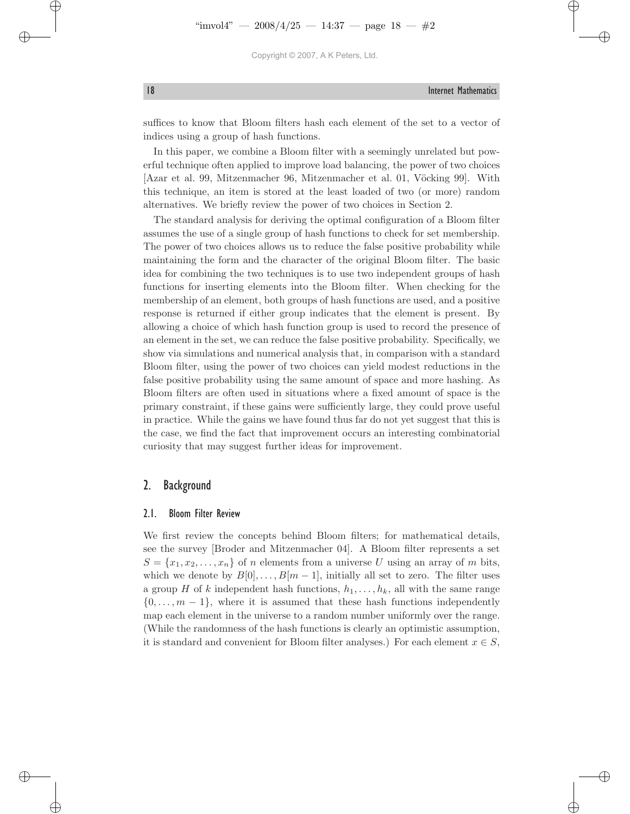suffices to know that Bloom filters hash each element of the set to a vector of indices using a group of hash functions.

In this paper, we combine a Bloom filter with a seemingly unrelated but powerful technique often applied to improve load balancing, the power of two choices [Azar et al. 99, Mitzenmacher 96, Mitzenmacher et al. 01, Vöcking 99]. With this technique, an item is stored at the least loaded of two (or more) random alternatives. We briefly review the power of two choices in Section 2.

The standard analysis for deriving the optimal configuration of a Bloom filter assumes the use of a single group of hash functions to check for set membership. The power of two choices allows us to reduce the false positive probability while maintaining the form and the character of the original Bloom filter. The basic idea for combining the two techniques is to use two independent groups of hash functions for inserting elements into the Bloom filter. When checking for the membership of an element, both groups of hash functions are used, and a positive response is returned if either group indicates that the element is present. By allowing a choice of which hash function group is used to record the presence of an element in the set, we can reduce the false positive probability. Specifically, we show via simulations and numerical analysis that, in comparison with a standard Bloom filter, using the power of two choices can yield modest reductions in the false positive probability using the same amount of space and more hashing. As Bloom filters are often used in situations where a fixed amount of space is the primary constraint, if these gains were sufficiently large, they could prove useful in practice. While the gains we have found thus far do not yet suggest that this is the case, we find the fact that improvement occurs an interesting combinatorial curiosity that may suggest further ideas for improvement.

## 2. Background

### 2.1. Bloom Filter Review

We first review the concepts behind Bloom filters; for mathematical details, see the survey [Broder and Mitzenmacher 04]. A Bloom filter represents a set  $S = \{x_1, x_2, \ldots, x_n\}$  of n elements from a universe U using an array of m bits, which we denote by  $B[0], \ldots, B[m-1]$ , initially all set to zero. The filter uses a group H of k independent hash functions,  $h_1, \ldots, h_k$ , all with the same range  $\{0,\ldots,m-1\}$ , where it is assumed that these hash functions independently map each element in the universe to a random number uniformly over the range. (While the randomness of the hash functions is clearly an optimistic assumption, it is standard and convenient for Bloom filter analyses.) For each element  $x \in S$ ,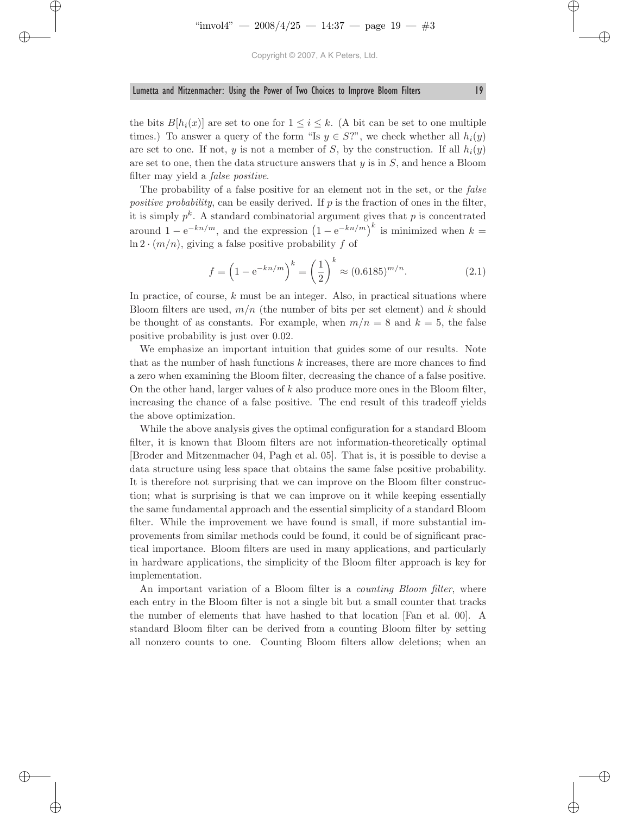the bits  $B[h_i(x)]$  are set to one for  $1 \leq i \leq k$ . (A bit can be set to one multiple times.) To answer a query of the form "Is  $y \in S$ ?", we check whether all  $h_i(y)$ are set to one. If not, y is not a member of S, by the construction. If all  $h_i(y)$ are set to one, then the data structure answers that  $y$  is in  $S$ , and hence a Bloom filter may yield a *false positive*.

The probability of a false positive for an element not in the set, or the *false positive probability*, can be easily derived. If  $p$  is the fraction of ones in the filter, it is simply  $p^k$ . A standard combinatorial argument gives that p is concentrated around  $1 - e^{-kn/m}$ , and the expression  $(1 - e^{-kn/m})^k$  is minimized when  $k =$  $\ln 2 \cdot (m/n)$ , giving a false positive probability f of

$$
f = \left(1 - e^{-kn/m}\right)^k = \left(\frac{1}{2}\right)^k \approx (0.6185)^{m/n}.
$$
 (2.1)

In practice, of course,  $k$  must be an integer. Also, in practical situations where Bloom filters are used,  $m/n$  (the number of bits per set element) and k should be thought of as constants. For example, when  $m/n = 8$  and  $k = 5$ , the false positive probability is just over 0.02.

We emphasize an important intuition that guides some of our results. Note that as the number of hash functions  $k$  increases, there are more chances to find a zero when examining the Bloom filter, decreasing the chance of a false positive. On the other hand, larger values of  $k$  also produce more ones in the Bloom filter, increasing the chance of a false positive. The end result of this tradeoff yields the above optimization.

While the above analysis gives the optimal configuration for a standard Bloom filter, it is known that Bloom filters are not information-theoretically optimal [Broder and Mitzenmacher 04, Pagh et al. 05]. That is, it is possible to devise a data structure using less space that obtains the same false positive probability. It is therefore not surprising that we can improve on the Bloom filter construction; what is surprising is that we can improve on it while keeping essentially the same fundamental approach and the essential simplicity of a standard Bloom filter. While the improvement we have found is small, if more substantial improvements from similar methods could be found, it could be of significant practical importance. Bloom filters are used in many applications, and particularly in hardware applications, the simplicity of the Bloom filter approach is key for implementation.

An important variation of a Bloom filter is a *counting Bloom filter*, where each entry in the Bloom filter is not a single bit but a small counter that tracks the number of elements that have hashed to that location [Fan et al. 00]. A standard Bloom filter can be derived from a counting Bloom filter by setting all nonzero counts to one. Counting Bloom filters allow deletions; when an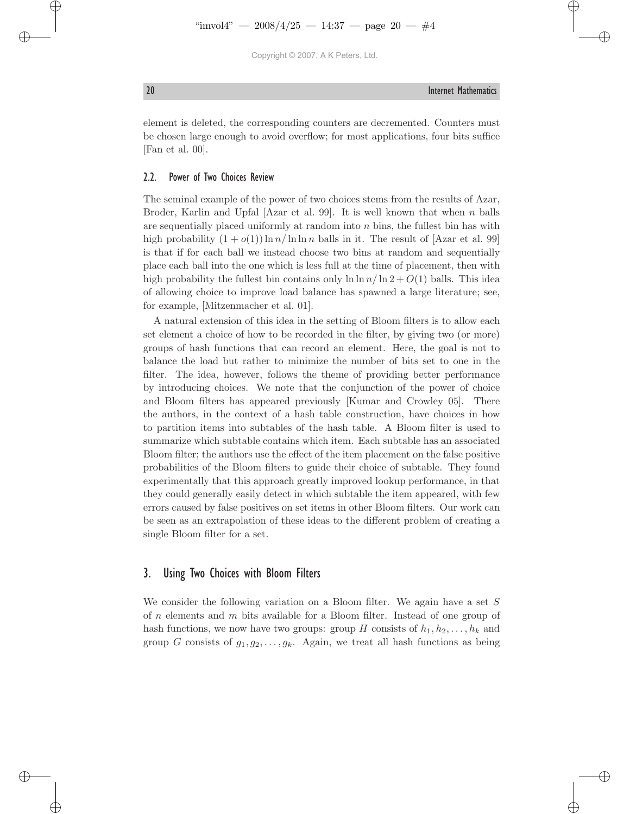element is deleted, the corresponding counters are decremented. Counters must be chosen large enough to avoid overflow; for most applications, four bits suffice [Fan et al. 00].

#### 2.2. Power of Two Choices Review

The seminal example of the power of two choices stems from the results of Azar, Broder, Karlin and Upfal  $[Azar et al. 99]$ . It is well known that when n balls are sequentially placed uniformly at random into n bins, the fullest bin has with high probability  $(1 + o(1)) \ln n / \ln \ln n$  balls in it. The result of [Azar et al. 99] is that if for each ball we instead choose two bins at random and sequentially place each ball into the one which is less full at the time of placement, then with high probability the fullest bin contains only  $\ln \ln n / \ln 2 + O(1)$  balls. This idea of allowing choice to improve load balance has spawned a large literature; see, for example, [Mitzenmacher et al. 01].

A natural extension of this idea in the setting of Bloom filters is to allow each set element a choice of how to be recorded in the filter, by giving two (or more) groups of hash functions that can record an element. Here, the goal is not to balance the load but rather to minimize the number of bits set to one in the filter. The idea, however, follows the theme of providing better performance by introducing choices. We note that the conjunction of the power of choice and Bloom filters has appeared previously [Kumar and Crowley 05]. There the authors, in the context of a hash table construction, have choices in how to partition items into subtables of the hash table. A Bloom filter is used to summarize which subtable contains which item. Each subtable has an associated Bloom filter; the authors use the effect of the item placement on the false positive probabilities of the Bloom filters to guide their choice of subtable. They found experimentally that this approach greatly improved lookup performance, in that they could generally easily detect in which subtable the item appeared, with few errors caused by false positives on set items in other Bloom filters. Our work can be seen as an extrapolation of these ideas to the different problem of creating a single Bloom filter for a set.

# 3. Using Two Choices with Bloom Filters

We consider the following variation on a Bloom filter. We again have a set  $S$ of n elements and m bits available for a Bloom filter. Instead of one group of hash functions, we now have two groups: group H consists of  $h_1, h_2, \ldots, h_k$  and group G consists of  $g_1, g_2, \ldots, g_k$ . Again, we treat all hash functions as being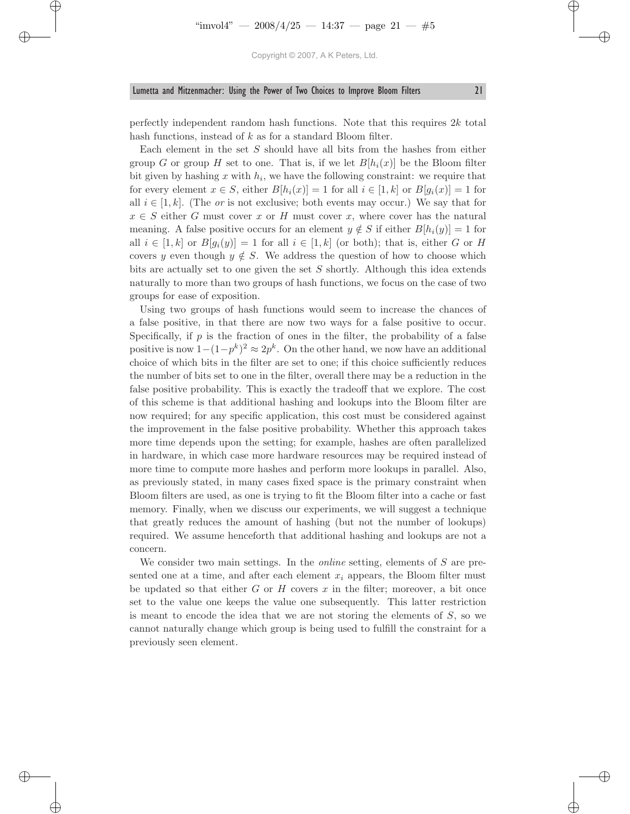perfectly independent random hash functions. Note that this requires 2k total hash functions, instead of k as for a standard Bloom filter.

Each element in the set  $S$  should have all bits from the hashes from either group G or group H set to one. That is, if we let  $B[h_i(x)]$  be the Bloom filter bit given by hashing x with  $h_i$ , we have the following constraint: we require that for every element  $x \in S$ , either  $B[h_i(x)] = 1$  for all  $i \in [1, k]$  or  $B[g_i(x)] = 1$  for all  $i \in [1, k]$ . (The *or* is not exclusive; both events may occur.) We say that for  $x \in S$  either G must cover x or H must cover x, where cover has the natural meaning. A false positive occurs for an element  $y \notin S$  if either  $B[h_i(y)] = 1$  for all  $i \in [1, k]$  or  $B[g_i(y)] = 1$  for all  $i \in [1, k]$  (or both); that is, either G or H covers y even though  $y \notin S$ . We address the question of how to choose which bits are actually set to one given the set  $S$  shortly. Although this idea extends naturally to more than two groups of hash functions, we focus on the case of two groups for ease of exposition.

Using two groups of hash functions would seem to increase the chances of a false positive, in that there are now two ways for a false positive to occur. Specifically, if  $p$  is the fraction of ones in the filter, the probability of a false positive is now  $1-(1-p^k)^2 \approx 2p^k$ . On the other hand, we now have an additional choice of which bits in the filter are set to one; if this choice sufficiently reduces the number of bits set to one in the filter, overall there may be a reduction in the false positive probability. This is exactly the tradeoff that we explore. The cost of this scheme is that additional hashing and lookups into the Bloom filter are now required; for any specific application, this cost must be considered against the improvement in the false positive probability. Whether this approach takes more time depends upon the setting; for example, hashes are often parallelized in hardware, in which case more hardware resources may be required instead of more time to compute more hashes and perform more lookups in parallel. Also, as previously stated, in many cases fixed space is the primary constraint when Bloom filters are used, as one is trying to fit the Bloom filter into a cache or fast memory. Finally, when we discuss our experiments, we will suggest a technique that greatly reduces the amount of hashing (but not the number of lookups) required. We assume henceforth that additional hashing and lookups are not a concern.

We consider two main settings. In the *online* setting, elements of <sup>S</sup> are presented one at a time, and after each element  $x_i$  appears, the Bloom filter must be updated so that either  $G$  or  $H$  covers  $x$  in the filter; moreover, a bit once set to the value one keeps the value one subsequently. This latter restriction is meant to encode the idea that we are not storing the elements of  $S$ , so we cannot naturally change which group is being used to fulfill the constraint for a previously seen element.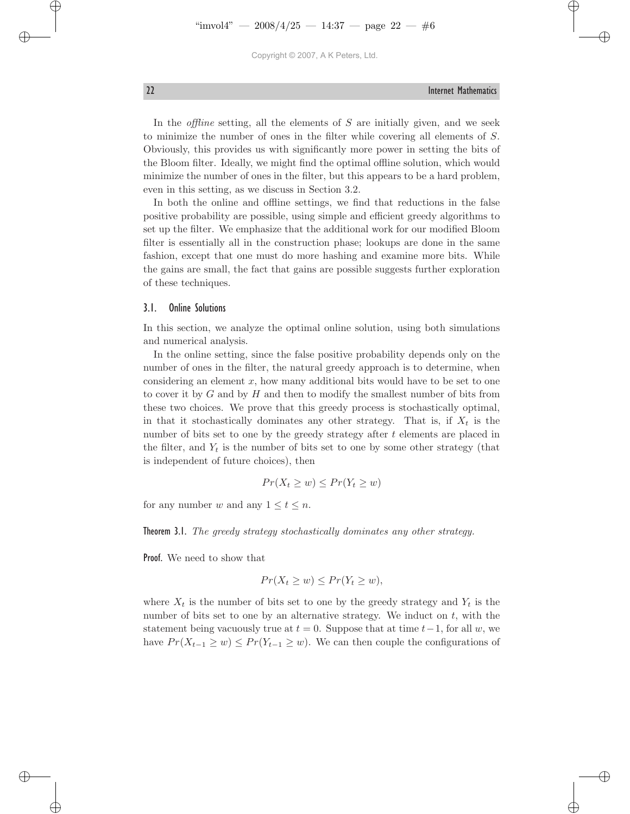In the *offline* setting, all the elements of S are initially given, and we seek to minimize the number of ones in the filter while covering all elements of S. Obviously, this provides us with significantly more power in setting the bits of the Bloom filter. Ideally, we might find the optimal offline solution, which would minimize the number of ones in the filter, but this appears to be a hard problem, even in this setting, as we discuss in Section 3.2.

In both the online and offline settings, we find that reductions in the false positive probability are possible, using simple and efficient greedy algorithms to set up the filter. We emphasize that the additional work for our modified Bloom filter is essentially all in the construction phase; lookups are done in the same fashion, except that one must do more hashing and examine more bits. While the gains are small, the fact that gains are possible suggests further exploration of these techniques.

#### 3.1. Online Solutions

In this section, we analyze the optimal online solution, using both simulations and numerical analysis.

In the online setting, since the false positive probability depends only on the number of ones in the filter, the natural greedy approach is to determine, when considering an element  $x$ , how many additional bits would have to be set to one to cover it by  $G$  and by  $H$  and then to modify the smallest number of bits from these two choices. We prove that this greedy process is stochastically optimal, in that it stochastically dominates any other strategy. That is, if  $X_t$  is the number of bits set to one by the greedy strategy after t elements are placed in the filter, and  $Y_t$  is the number of bits set to one by some other strategy (that is independent of future choices), then

$$
Pr(X_t \ge w) \le Pr(Y_t \ge w)
$$

for any number w and any  $1 \le t \le n$ .

Theorem 3.1. *The greedy strategy stochastically dominates any other strategy.*

Proof. We need to show that

$$
Pr(X_t \ge w) \le Pr(Y_t \ge w),
$$

where  $X_t$  is the number of bits set to one by the greedy strategy and  $Y_t$  is the number of bits set to one by an alternative strategy. We induct on  $t$ , with the statement being vacuously true at  $t = 0$ . Suppose that at time  $t - 1$ , for all w, we have  $Pr(X_{t-1} \geq w) \leq Pr(Y_{t-1} \geq w)$ . We can then couple the configurations of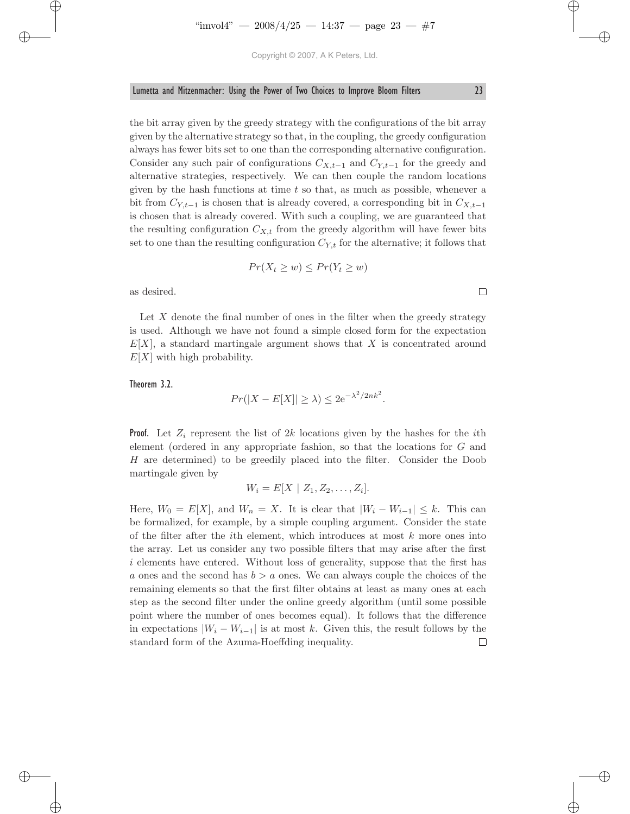the bit array given by the greedy strategy with the configurations of the bit array given by the alternative strategy so that, in the coupling, the greedy configuration always has fewer bits set to one than the corresponding alternative configuration. Consider any such pair of configurations  $C_{X,t-1}$  and  $C_{Y,t-1}$  for the greedy and alternative strategies, respectively. We can then couple the random locations given by the hash functions at time  $t$  so that, as much as possible, whenever a bit from  $C_{Y,t-1}$  is chosen that is already covered, a corresponding bit in  $C_{X,t-1}$ is chosen that is already covered. With such a coupling, we are guaranteed that the resulting configuration  $C_{X,t}$  from the greedy algorithm will have fewer bits set to one than the resulting configuration  $C_{Y,t}$  for the alternative; it follows that

$$
Pr(X_t \ge w) \le Pr(Y_t \ge w)
$$

as desired.

Let  $X$  denote the final number of ones in the filter when the greedy strategy is used. Although we have not found a simple closed form for the expectation  $E[X]$ , a standard martingale argument shows that X is concentrated around  $E[X]$  with high probability.

Theorem 3.2.

$$
Pr(|X - E[X]| \ge \lambda) \le 2e^{-\lambda^2/2nk^2}.
$$

**Proof.** Let  $Z_i$  represent the list of  $2k$  locations given by the hashes for the *i*th element (ordered in any appropriate fashion, so that the locations for G and H are determined) to be greedily placed into the filter. Consider the Doob martingale given by

$$
W_i = E[X \mid Z_1, Z_2, \ldots, Z_i].
$$

Here,  $W_0 = E[X]$ , and  $W_n = X$ . It is clear that  $|W_i - W_{i-1}| \leq k$ . This can be formalized, for example, by a simple coupling argument. Consider the state of the filter after the *i*th element, which introduces at most  $k$  more ones into the array. Let us consider any two possible filters that may arise after the first i elements have entered. Without loss of generality, suppose that the first has a ones and the second has  $b > a$  ones. We can always couple the choices of the remaining elements so that the first filter obtains at least as many ones at each step as the second filter under the online greedy algorithm (until some possible point where the number of ones becomes equal). It follows that the difference in expectations  $|W_i - W_{i-1}|$  is at most k. Given this, the result follows by the standard form of the Azuma-Hoeffding inequality.  $\Box$ standard form of the Azuma-Hoeffding inequality.

 $\Box$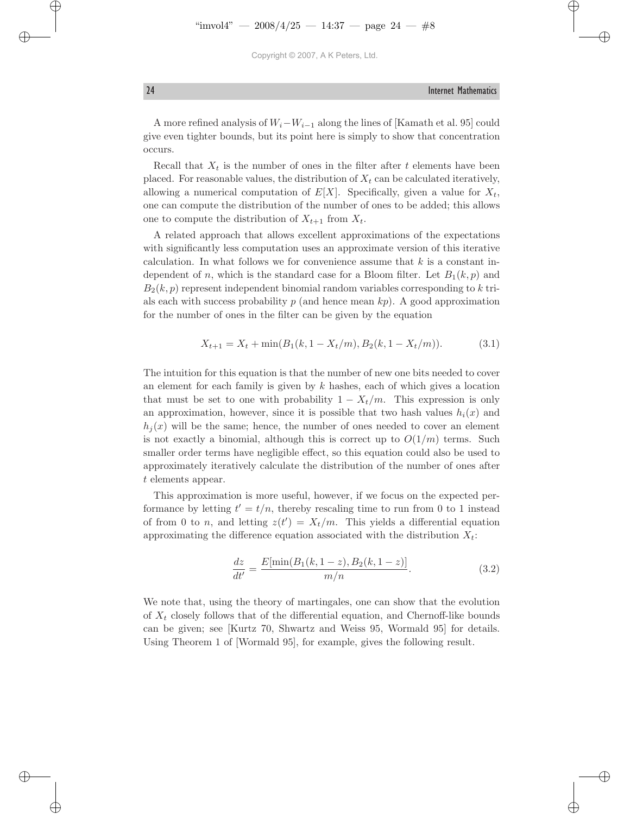A more refined analysis of Wi−Wi*−*<sup>1</sup> along the lines of [Kamath et al. 95] could give even tighter bounds, but its point here is simply to show that concentration occurs.

Recall that  $X_t$  is the number of ones in the filter after t elements have been placed. For reasonable values, the distribution of  $X_t$  can be calculated iteratively, allowing a numerical computation of  $E[X]$ . Specifically, given a value for  $X_t$ , one can compute the distribution of the number of ones to be added; this allows one to compute the distribution of  $X_{t+1}$  from  $X_t$ .

A related approach that allows excellent approximations of the expectations with significantly less computation uses an approximate version of this iterative calculation. In what follows we for convenience assume that  $k$  is a constant independent of n, which is the standard case for a Bloom filter. Let  $B_1(k, p)$  and  $B_2(k, p)$  represent independent binomial random variables corresponding to k trials each with success probability  $p$  (and hence mean kp). A good approximation for the number of ones in the filter can be given by the equation

$$
X_{t+1} = X_t + \min(B_1(k, 1 - X_t/m), B_2(k, 1 - X_t/m)).
$$
\n(3.1)

The intuition for this equation is that the number of new one bits needed to cover an element for each family is given by  $k$  hashes, each of which gives a location that must be set to one with probability  $1 - X_t/m$ . This expression is only an approximation, however, since it is possible that two hash values  $h_i(x)$  and  $h_i(x)$  will be the same; hence, the number of ones needed to cover an element is not exactly a binomial, although this is correct up to  $O(1/m)$  terms. Such smaller order terms have negligible effect, so this equation could also be used to approximately iteratively calculate the distribution of the number of ones after t elements appear.

This approximation is more useful, however, if we focus on the expected performance by letting  $t' = t/n$ , thereby rescaling time to run from 0 to 1 instead of from 0 to *n*, and letting  $z(t') = X_t/m$ . This yields a differential equation approximating the difference equation associated with the distribution  $X_t$ :

$$
\frac{dz}{dt'} = \frac{E[\min(B_1(k, 1-z), B_2(k, 1-z)]}{m/n}.
$$
\n(3.2)

We note that, using the theory of martingales, one can show that the evolution of  $X_t$  closely follows that of the differential equation, and Chernoff-like bounds can be given; see [Kurtz 70, Shwartz and Weiss 95, Wormald 95] for details. Using Theorem 1 of [Wormald 95], for example, gives the following result.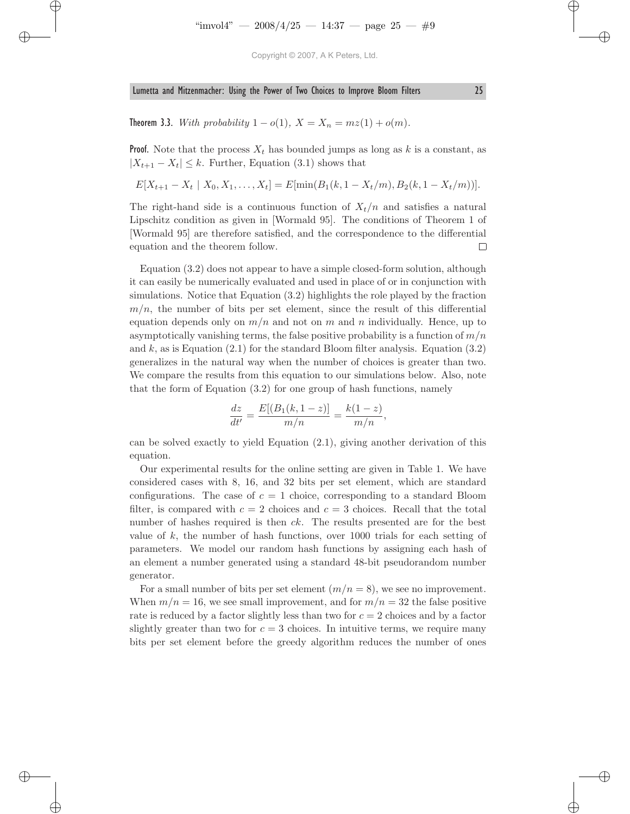Lumetta and Mitzenmacher: Using the Power of Two Choices to Improve Bloom Filters 25

**Theorem 3.3.** *With probability*  $1 - o(1)$ ,  $X = X_n = mz(1) + o(m)$ *.* 

**Proof.** Note that the process  $X_t$  has bounded jumps as long as k is a constant, as  $|X_{t+1} - X_t| \leq k$ . Further, Equation (3.1) shows that

$$
E[X_{t+1} - X_t | X_0, X_1, \dots, X_t] = E[\min(B_1(k, 1 - X_t/m), B_2(k, 1 - X_t/m))].
$$

The right-hand side is a continuous function of  $X_t/n$  and satisfies a natural Lipschitz condition as given in [Wormald 95]. The conditions of Theorem 1 of [Wormald 95] are therefore satisfied, and the correspondence to the differential equation and the theorem follow. □

Equation (3.2) does not appear to have a simple closed-form solution, although it can easily be numerically evaluated and used in place of or in conjunction with simulations. Notice that Equation (3.2) highlights the role played by the fraction  $m/n$ , the number of bits per set element, since the result of this differential equation depends only on  $m/n$  and not on m and n individually. Hence, up to asymptotically vanishing terms, the false positive probability is a function of  $m/n$ and k, as is Equation  $(2.1)$  for the standard Bloom filter analysis. Equation  $(3.2)$ generalizes in the natural way when the number of choices is greater than two. We compare the results from this equation to our simulations below. Also, note that the form of Equation (3.2) for one group of hash functions, namely

$$
\frac{dz}{dt'} = \frac{E[(B_1(k, 1-z)]}{m/n} = \frac{k(1-z)}{m/n},
$$

can be solved exactly to yield Equation (2.1), giving another derivation of this equation.

Our experimental results for the online setting are given in Table 1. We have considered cases with 8, 16, and 32 bits per set element, which are standard configurations. The case of  $c = 1$  choice, corresponding to a standard Bloom filter, is compared with  $c = 2$  choices and  $c = 3$  choices. Recall that the total number of hashes required is then *ck*. The results presented are for the best value of  $k$ , the number of hash functions, over 1000 trials for each setting of parameters. We model our random hash functions by assigning each hash of an element a number generated using a standard 48-bit pseudorandom number generator.

For a small number of bits per set element  $(m/n = 8)$ , we see no improvement. When  $m/n = 16$ , we see small improvement, and for  $m/n = 32$  the false positive rate is reduced by a factor slightly less than two for  $c = 2$  choices and by a factor slightly greater than two for  $c = 3$  choices. In intuitive terms, we require many bits per set element before the greedy algorithm reduces the number of ones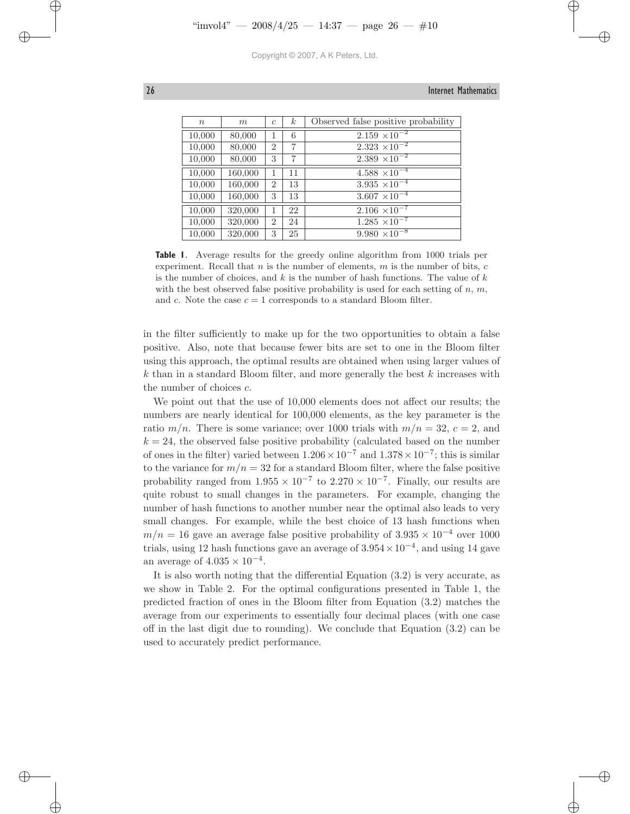| $\boldsymbol{n}$ | m       | $\epsilon$     | $\boldsymbol{k}$ | Observed false positive probability |
|------------------|---------|----------------|------------------|-------------------------------------|
| 10,000           | 80,000  | $\mathbf{1}$   | 6                | $2.159 \times 10^{-2}$              |
| 10,000           | 80,000  | $\overline{2}$ | 7                | $2.323 \times 10^{-2}$              |
| 10,000           | 80,000  | 3              | 7                | $2.389 \times 10^{-2}$              |
| 10,000           | 160,000 |                | 11               | $4.588 \times 10^{-4}$              |
| 10,000           | 160,000 | $\overline{2}$ | 13               | $3.\overline{935 \times 10^{-4}}$   |
| 10,000           | 160,000 | 3              | 13               | $3.607 \times 10^{-4}$              |
| 10,000           | 320,000 | 1              | 22               | $2.106 \times 10^{-7}$              |
| 10,000           | 320,000 | $\overline{2}$ | 24               | $1.285 \times 10^{-7}$              |
| 10,000           | 320,000 | 3              | 25               | $9.980 \times 10^{-8}$              |

**Table 1**. Average results for the greedy online algorithm from 1000 trials per experiment. Recall that *n* is the number of elements, *m* is the number of bits, *c* is the number of choices, and *k* is the number of hash functions. The value of *k* with the best observed false positive probability is used for each setting of  $n, m$ , and *c*. Note the case  $c = 1$  corresponds to a standard Bloom filter.

in the filter sufficiently to make up for the two opportunities to obtain a false positive. Also, note that because fewer bits are set to one in the Bloom filter using this approach, the optimal results are obtained when using larger values of  $k$  than in a standard Bloom filter, and more generally the best  $k$  increases with the number of choices c.

We point out that the use of 10,000 elements does not affect our results; the numbers are nearly identical for 100,000 elements, as the key parameter is the ratio  $m/n$ . There is some variance; over 1000 trials with  $m/n = 32$ ,  $c = 2$ , and  $k = 24$ , the observed false positive probability (calculated based on the number of ones in the filter) varied between 1.206×10*−*<sup>7</sup> and 1.378×10*−*<sup>7</sup>; this is similar to the variance for  $m/n = 32$  for a standard Bloom filter, where the false positive probability ranged from  $1.955 \times 10^{-7}$  to  $2.270 \times 10^{-7}$ . Finally, our results are quite robust to small changes in the parameters. For example, changing the number of hash functions to another number near the optimal also leads to very small changes. For example, while the best choice of 13 hash functions when  $m/n = 16$  gave an average false positive probability of  $3.935 \times 10^{-4}$  over 1000 trials, using 12 hash functions gave an average of 3.954×10*−*<sup>4</sup>, and using 14 gave an average of 4.035 × 10*−*<sup>4</sup>.

It is also worth noting that the differential Equation (3.2) is very accurate, as we show in Table 2. For the optimal configurations presented in Table 1, the predicted fraction of ones in the Bloom filter from Equation (3.2) matches the average from our experiments to essentially four decimal places (with one case off in the last digit due to rounding). We conclude that Equation (3.2) can be used to accurately predict performance.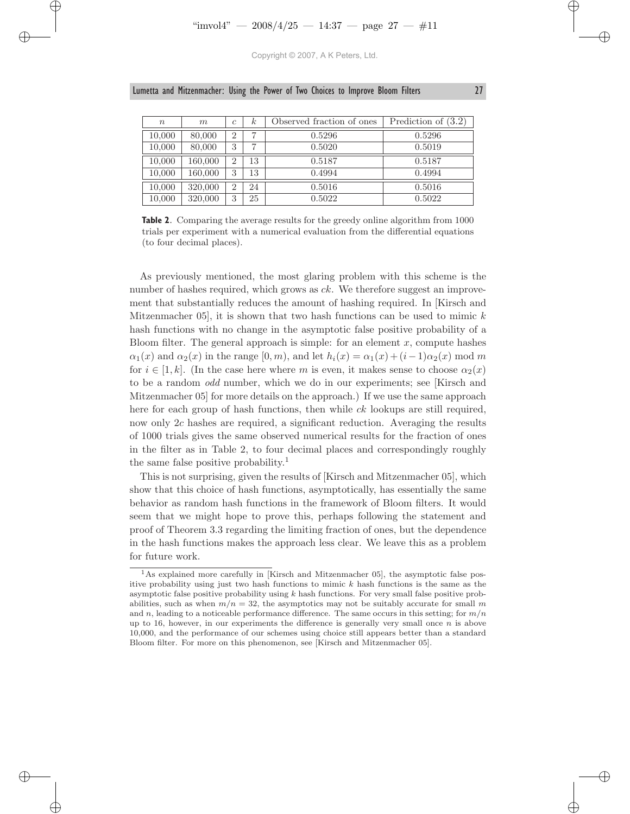| $\boldsymbol{n}$ | m       | $\epsilon$     | k. | Observed fraction of ones | Prediction of $(3.2)$ |
|------------------|---------|----------------|----|---------------------------|-----------------------|
| 10,000           | 80,000  | $\overline{2}$ |    | 0.5296                    | 0.5296                |
| 10,000           | 80,000  | 3              | ⇁  | 0.5020                    | 0.5019                |
| 10,000           | 160,000 | $\overline{2}$ | 13 | 0.5187                    | 0.5187                |
| 10,000           | 160,000 | 3              | 13 | 0.4994                    | 0.4994                |
| 10,000           | 320,000 | $\overline{2}$ | 24 | 0.5016                    | 0.5016                |
| 10,000           | 320,000 | 3              | 25 | 0.5022                    | 0.5022                |

Lumetta and Mitzenmacher: Using the Power of Two Choices to Improve Bloom Filters 27

**Table 2**. Comparing the average results for the greedy online algorithm from 1000 trials per experiment with a numerical evaluation from the differential equations (to four decimal places).

As previously mentioned, the most glaring problem with this scheme is the number of hashes required, which grows as  $ck$ . We therefore suggest an improvement that substantially reduces the amount of hashing required. In [Kirsch and Mitzenmacher 05, it is shown that two hash functions can be used to mimic  $k$ hash functions with no change in the asymptotic false positive probability of a Bloom filter. The general approach is simple: for an element  $x$ , compute hashes  $\alpha_1(x)$  and  $\alpha_2(x)$  in the range  $[0, m)$ , and let  $h_i(x) = \alpha_1(x) + (i-1)\alpha_2(x)$  mod m for  $i \in [1, k]$ . (In the case here where m is even, it makes sense to choose  $\alpha_2(x)$ to be a random *odd* number, which we do in our experiments; see [Kirsch and Mitzenmacher 05] for more details on the approach.) If we use the same approach here for each group of hash functions, then while ck lookups are still required, now only 2c hashes are required, a significant reduction. Averaging the results of 1000 trials gives the same observed numerical results for the fraction of ones in the filter as in Table 2, to four decimal places and correspondingly roughly the same false positive probability.<sup>1</sup>

This is not surprising, given the results of [Kirsch and Mitzenmacher 05], which show that this choice of hash functions, asymptotically, has essentially the same behavior as random hash functions in the framework of Bloom filters. It would seem that we might hope to prove this, perhaps following the statement and proof of Theorem 3.3 regarding the limiting fraction of ones, but the dependence in the hash functions makes the approach less clear. We leave this as a problem for future work.

<sup>&</sup>lt;sup>1</sup>As explained more carefully in [Kirsch and Mitzenmacher 05], the asymptotic false positive probability using just two hash functions to mimic *k* hash functions is the same as the asymptotic false positive probability using *k* hash functions. For very small false positive probabilities, such as when  $m/n = 32$ , the asymptotics may not be suitably accurate for small m and *n*, leading to a noticeable performance difference. The same occurs in this setting; for  $m/n$ up to 16, however, in our experiments the difference is generally very small once *n* is above 10,000, and the performance of our schemes using choice still appears better than a standard Bloom filter. For more on this phenomenon, see [Kirsch and Mitzenmacher 05].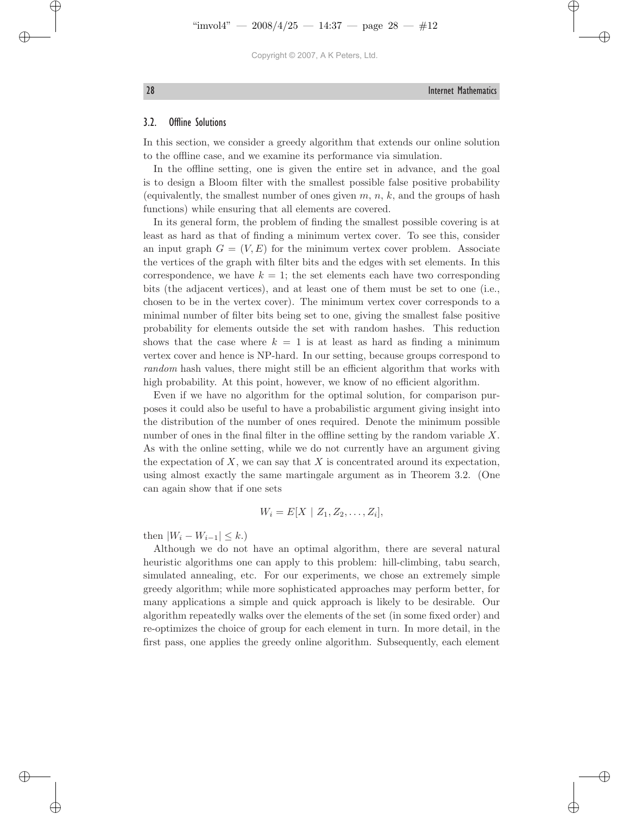## 3.2. Offline Solutions

In this section, we consider a greedy algorithm that extends our online solution to the offline case, and we examine its performance via simulation.

In the offline setting, one is given the entire set in advance, and the goal is to design a Bloom filter with the smallest possible false positive probability (equivalently, the smallest number of ones given  $m, n, k$ , and the groups of hash functions) while ensuring that all elements are covered.

In its general form, the problem of finding the smallest possible covering is at least as hard as that of finding a minimum vertex cover. To see this, consider an input graph  $G = (V, E)$  for the minimum vertex cover problem. Associate the vertices of the graph with filter bits and the edges with set elements. In this correspondence, we have  $k = 1$ ; the set elements each have two corresponding bits (the adjacent vertices), and at least one of them must be set to one (i.e., chosen to be in the vertex cover). The minimum vertex cover corresponds to a minimal number of filter bits being set to one, giving the smallest false positive probability for elements outside the set with random hashes. This reduction shows that the case where  $k = 1$  is at least as hard as finding a minimum vertex cover and hence is NP-hard. In our setting, because groups correspond to *random* hash values, there might still be an efficient algorithm that works with high probability. At this point, however, we know of no efficient algorithm.

Even if we have no algorithm for the optimal solution, for comparison purposes it could also be useful to have a probabilistic argument giving insight into the distribution of the number of ones required. Denote the minimum possible number of ones in the final filter in the offline setting by the random variable X. As with the online setting, while we do not currently have an argument giving the expectation of  $X$ , we can say that  $X$  is concentrated around its expectation, using almost exactly the same martingale argument as in Theorem 3.2. (One can again show that if one sets

$$
W_i = E[X \mid Z_1, Z_2, \ldots, Z_i],
$$

then  $|W_i - W_{i-1}| \leq k$ .)

Although we do not have an optimal algorithm, there are several natural heuristic algorithms one can apply to this problem: hill-climbing, tabu search, simulated annealing, etc. For our experiments, we chose an extremely simple greedy algorithm; while more sophisticated approaches may perform better, for many applications a simple and quick approach is likely to be desirable. Our algorithm repeatedly walks over the elements of the set (in some fixed order) and re-optimizes the choice of group for each element in turn. In more detail, in the first pass, one applies the greedy online algorithm. Subsequently, each element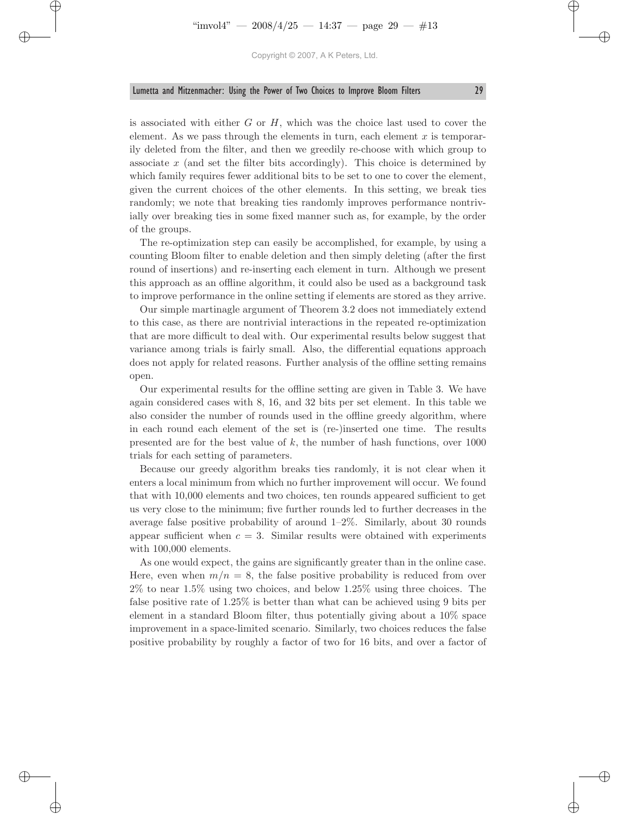is associated with either  $G$  or  $H$ , which was the choice last used to cover the element. As we pass through the elements in turn, each element  $x$  is temporarily deleted from the filter, and then we greedily re-choose with which group to associate  $x$  (and set the filter bits accordingly). This choice is determined by which family requires fewer additional bits to be set to one to cover the element, given the current choices of the other elements. In this setting, we break ties randomly; we note that breaking ties randomly improves performance nontrivially over breaking ties in some fixed manner such as, for example, by the order of the groups.

The re-optimization step can easily be accomplished, for example, by using a counting Bloom filter to enable deletion and then simply deleting (after the first round of insertions) and re-inserting each element in turn. Although we present this approach as an offline algorithm, it could also be used as a background task to improve performance in the online setting if elements are stored as they arrive.

Our simple martinagle argument of Theorem 3.2 does not immediately extend to this case, as there are nontrivial interactions in the repeated re-optimization that are more difficult to deal with. Our experimental results below suggest that variance among trials is fairly small. Also, the differential equations approach does not apply for related reasons. Further analysis of the offline setting remains open.

Our experimental results for the offline setting are given in Table 3. We have again considered cases with 8, 16, and 32 bits per set element. In this table we also consider the number of rounds used in the offline greedy algorithm, where in each round each element of the set is (re-)inserted one time. The results presented are for the best value of  $k$ , the number of hash functions, over 1000 trials for each setting of parameters.

Because our greedy algorithm breaks ties randomly, it is not clear when it enters a local minimum from which no further improvement will occur. We found that with 10,000 elements and two choices, ten rounds appeared sufficient to get us very close to the minimum; five further rounds led to further decreases in the average false positive probability of around  $1-2\%$ . Similarly, about 30 rounds appear sufficient when  $c = 3$ . Similar results were obtained with experiments with 100,000 elements.

As one would expect, the gains are significantly greater than in the online case. Here, even when  $m/n = 8$ , the false positive probability is reduced from over 2% to near 1.5% using two choices, and below 1.25% using three choices. The false positive rate of 1.25% is better than what can be achieved using 9 bits per element in a standard Bloom filter, thus potentially giving about a 10% space improvement in a space-limited scenario. Similarly, two choices reduces the false positive probability by roughly a factor of two for 16 bits, and over a factor of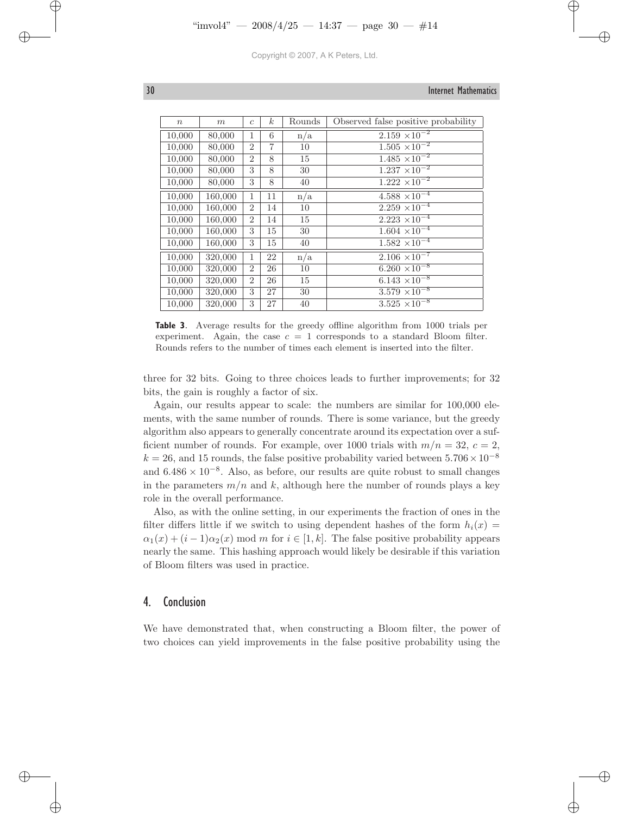| $\boldsymbol{n}$ | m       | $\mathfrak{c}$ | $\boldsymbol{k}$ | Rounds | Observed false positive probability |
|------------------|---------|----------------|------------------|--------|-------------------------------------|
| 10,000           | 80,000  | 1              | 6                | n/a    | $2.159 \times 10^{-2}$              |
| 10,000           | 80,000  | $\overline{2}$ | $\overline{7}$   | 10     | $1.505 \times 10^{-2}$              |
| 10,000           | 80,000  | $\overline{2}$ | 8                | 15     | $1.485 \times 10^{-2}$              |
| 10,000           | 80,000  | 3              | 8                | 30     | $1.237 \times 10^{-2}$              |
| 10,000           | 80,000  | 3              | 8                | 40     | $1.222 \times 10^{-2}$              |
| 10,000           | 160,000 | 1              | 11               | n/a    | $4.\overline{588 \times 10^{-4}}$   |
| 10,000           | 160,000 | $\overline{2}$ | 14               | 10     | $2.259 \times 10^{-4}$              |
| 10,000           | 160,000 | $\overline{2}$ | 14               | 15     | $2.223 \times 10^{-4}$              |
| 10,000           | 160,000 | 3              | 15               | 30     | $1.604 \times 10^{-4}$              |
| 10,000           | 160,000 | 3              | 15               | 40     | $1.582 \times 10^{-4}$              |
| 10,000           | 320,000 | $\mathbf{1}$   | 22               | n/a    | $2.106 \times 10^{-7}$              |
| 10,000           | 320,000 | $\overline{2}$ | 26               | 10     | $6.260 \times 10^{-8}$              |
| 10,000           | 320,000 | $\overline{2}$ | 26               | 15     | $6.1\overline{43 \times 10^{-8}}$   |
| 10,000           | 320,000 | 3              | 27               | 30     | $3.\overline{579 \times 10^{-8}}$   |
| 10,000           | 320,000 | 3              | 27               | 40     | $3.525 \times 10^{-8}$              |

**Table 3**. Average results for the greedy offline algorithm from 1000 trials per experiment. Again, the case  $c = 1$  corresponds to a standard Bloom filter. Rounds refers to the number of times each element is inserted into the filter.

three for 32 bits. Going to three choices leads to further improvements; for 32 bits, the gain is roughly a factor of six.

Again, our results appear to scale: the numbers are similar for 100,000 elements, with the same number of rounds. There is some variance, but the greedy algorithm also appears to generally concentrate around its expectation over a sufficient number of rounds. For example, over 1000 trials with  $m/n = 32$ ,  $c = 2$ , k = 26, and 15 rounds, the false positive probability varied between 5.706×10*−*<sup>8</sup> and 6.486 × 10*−*<sup>8</sup>. Also, as before, our results are quite robust to small changes in the parameters  $m/n$  and k, although here the number of rounds plays a key role in the overall performance.

Also, as with the online setting, in our experiments the fraction of ones in the filter differs little if we switch to using dependent hashes of the form  $h_i(x) =$  $\alpha_1(x) + (i - 1)\alpha_2(x)$  mod m for  $i \in [1, k]$ . The false positive probability appears nearly the same. This hashing approach would likely be desirable if this variation of Bloom filters was used in practice.

## 4. Conclusion

We have demonstrated that, when constructing a Bloom filter, the power of two choices can yield improvements in the false positive probability using the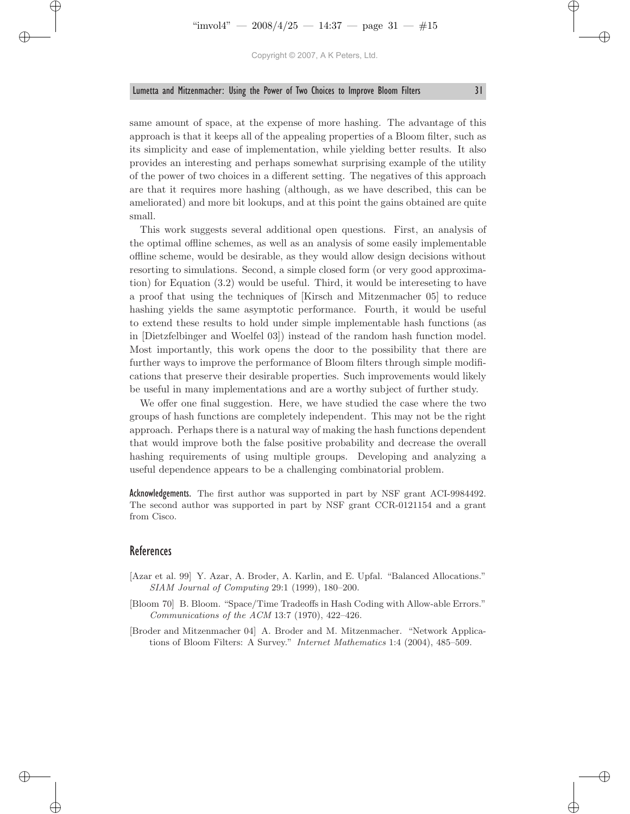same amount of space, at the expense of more hashing. The advantage of this approach is that it keeps all of the appealing properties of a Bloom filter, such as its simplicity and ease of implementation, while yielding better results. It also provides an interesting and perhaps somewhat surprising example of the utility of the power of two choices in a different setting. The negatives of this approach are that it requires more hashing (although, as we have described, this can be ameliorated) and more bit lookups, and at this point the gains obtained are quite small.

This work suggests several additional open questions. First, an analysis of the optimal offline schemes, as well as an analysis of some easily implementable offline scheme, would be desirable, as they would allow design decisions without resorting to simulations. Second, a simple closed form (or very good approximation) for Equation (3.2) would be useful. Third, it would be intereseting to have a proof that using the techniques of [Kirsch and Mitzenmacher 05] to reduce hashing yields the same asymptotic performance. Fourth, it would be useful to extend these results to hold under simple implementable hash functions (as in [Dietzfelbinger and Woelfel 03]) instead of the random hash function model. Most importantly, this work opens the door to the possibility that there are further ways to improve the performance of Bloom filters through simple modifications that preserve their desirable properties. Such improvements would likely be useful in many implementations and are a worthy subject of further study.

We offer one final suggestion. Here, we have studied the case where the two groups of hash functions are completely independent. This may not be the right approach. Perhaps there is a natural way of making the hash functions dependent that would improve both the false positive probability and decrease the overall hashing requirements of using multiple groups. Developing and analyzing a useful dependence appears to be a challenging combinatorial problem.

Acknowledgements. The first author was supported in part by NSF grant ACI-9984492. The second author was supported in part by NSF grant CCR-0121154 and a grant from Cisco.

# **References**

- [Azar et al. 99] Y. Azar, A. Broder, A. Karlin, and E. Upfal. "Balanced Allocations." SIAM Journal of Computing 29:1 (1999), 180–200.
- [Bloom 70] B. Bloom. "Space/Time Tradeoffs in Hash Coding with Allow-able Errors." Communications of the ACM 13:7 (1970), 422–426.
- [Broder and Mitzenmacher 04] A. Broder and M. Mitzenmacher. "Network Applications of Bloom Filters: A Survey." Internet Mathematics 1:4 (2004), 485–509.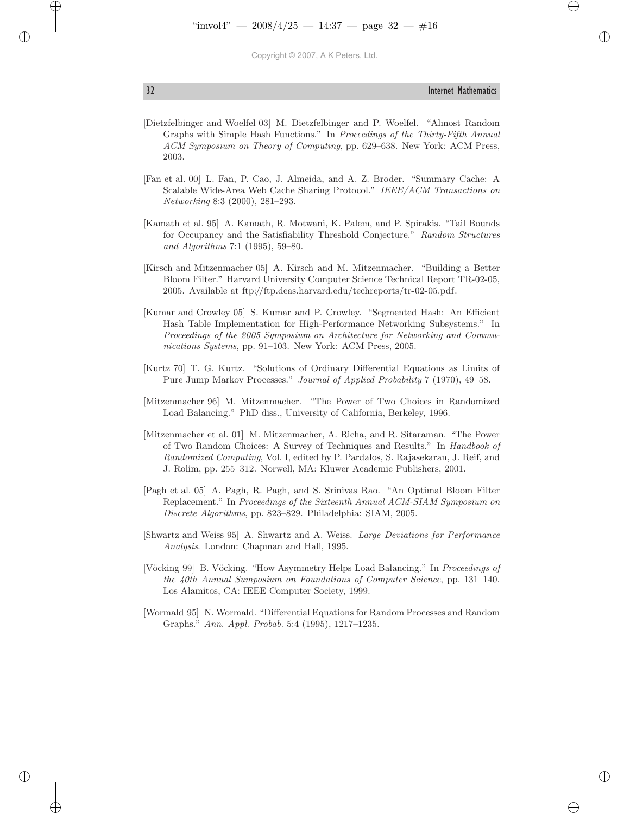- [Dietzfelbinger and Woelfel 03] M. Dietzfelbinger and P. Woelfel. "Almost Random Graphs with Simple Hash Functions." In Proceedings of the Thirty-Fifth Annual ACM Symposium on Theory of Computing, pp. 629–638. New York: ACM Press, 2003.
- [Fan et al. 00] L. Fan, P. Cao, J. Almeida, and A. Z. Broder. "Summary Cache: A Scalable Wide-Area Web Cache Sharing Protocol." IEEE/ACM Transactions on Networking 8:3 (2000), 281–293.
- [Kamath et al. 95] A. Kamath, R. Motwani, K. Palem, and P. Spirakis. "Tail Bounds for Occupancy and the Satisfiability Threshold Conjecture." Random Structures and Algorithms 7:1 (1995), 59–80.
- [Kirsch and Mitzenmacher 05] A. Kirsch and M. Mitzenmacher. "Building a Better Bloom Filter." Harvard University Computer Science Technical Report TR-02-05, 2005. Available at ftp://ftp.deas.harvard.edu/techreports/tr-02-05.pdf.
- [Kumar and Crowley 05] S. Kumar and P. Crowley. "Segmented Hash: An Efficient Hash Table Implementation for High-Performance Networking Subsystems." In Proceedings of the 2005 Symposium on Architecture for Networking and Communications Systems, pp. 91–103. New York: ACM Press, 2005.
- [Kurtz 70] T. G. Kurtz. "Solutions of Ordinary Differential Equations as Limits of Pure Jump Markov Processes." Journal of Applied Probability 7 (1970), 49–58.
- [Mitzenmacher 96] M. Mitzenmacher. "The Power of Two Choices in Randomized Load Balancing." PhD diss., University of California, Berkeley, 1996.
- [Mitzenmacher et al. 01] M. Mitzenmacher, A. Richa, and R. Sitaraman. "The Power of Two Random Choices: A Survey of Techniques and Results." In Handbook of Randomized Computing, Vol. I, edited by P. Pardalos, S. Rajasekaran, J. Reif, and J. Rolim, pp. 255–312. Norwell, MA: Kluwer Academic Publishers, 2001.
- [Pagh et al. 05] A. Pagh, R. Pagh, and S. Srinivas Rao. "An Optimal Bloom Filter Replacement." In Proceedings of the Sixteenth Annual ACM-SIAM Symposium on Discrete Algorithms, pp. 823–829. Philadelphia: SIAM, 2005.
- [Shwartz and Weiss 95] A. Shwartz and A. Weiss. Large Deviations for Performance Analysis. London: Chapman and Hall, 1995.
- [Vöcking 99] B. Vöcking. "How Asymmetry Helps Load Balancing." In Proceedings of the 40th Annual Sumposium on Foundations of Computer Science, pp. 131–140. Los Alamitos, CA: IEEE Computer Society, 1999.
- [Wormald 95] N. Wormald. "Differential Equations for Random Processes and Random Graphs." Ann. Appl. Probab. 5:4 (1995), 1217–1235.